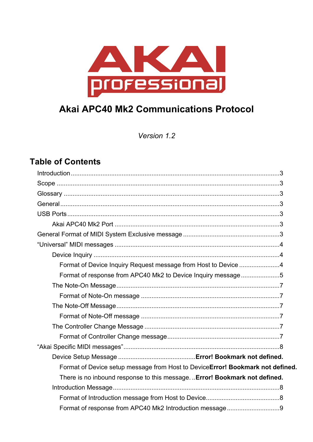

Version 1.2

# **Table of Contents**

| Format of Device Inquiry Request message from Host to Device 4                |
|-------------------------------------------------------------------------------|
| Format of response from APC40 Mk2 to Device Inquiry message5                  |
|                                                                               |
|                                                                               |
|                                                                               |
|                                                                               |
|                                                                               |
|                                                                               |
|                                                                               |
|                                                                               |
| Format of Device setup message from Host to DeviceError! Bookmark not defined |
| There is no inbound response to this message Error! Bookmark not defined.     |
|                                                                               |
|                                                                               |
|                                                                               |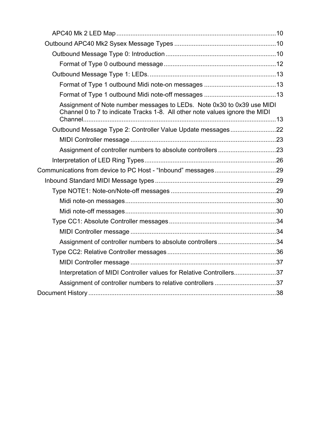| Assignment of Note number messages to LEDs. Note 0x30 to 0x39 use MIDI<br>Channel 0 to 7 to indicate Tracks 1-8. All other note values ignore the MIDI |  |
|--------------------------------------------------------------------------------------------------------------------------------------------------------|--|
|                                                                                                                                                        |  |
|                                                                                                                                                        |  |
|                                                                                                                                                        |  |
|                                                                                                                                                        |  |
|                                                                                                                                                        |  |
|                                                                                                                                                        |  |
|                                                                                                                                                        |  |
|                                                                                                                                                        |  |
|                                                                                                                                                        |  |
|                                                                                                                                                        |  |
|                                                                                                                                                        |  |
| Assignment of controller numbers to absolute controllers 34                                                                                            |  |
|                                                                                                                                                        |  |
|                                                                                                                                                        |  |
| Interpretation of MIDI Controller values for Relative Controllers37                                                                                    |  |
|                                                                                                                                                        |  |
|                                                                                                                                                        |  |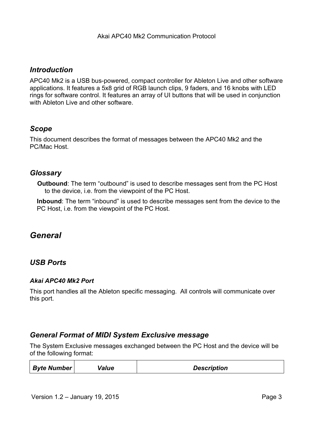# *Introduction*

APC40 Mk2 is a USB bus-powered, compact controller for Ableton Live and other software applications. It features a 5x8 grid of RGB launch clips, 9 faders, and 16 knobs with LED rings for software control. It features an array of UI buttons that will be used in conjunction with Ableton Live and other software.

# *Scope*

This document describes the format of messages between the APC40 Mk2 and the PC/Mac Host.

# *Glossary*

**Outbound**: The term "outbound" is used to describe messages sent from the PC Host to the device, i.e. from the viewpoint of the PC Host.

**Inbound**: The term "inbound" is used to describe messages sent from the device to the PC Host, i.e. from the viewpoint of the PC Host.

# *General*

# *USB Ports*

# *Akai APC40 Mk2 Port*

This port handles all the Ableton specific messaging. All controls will communicate over this port.

# *General Format of MIDI System Exclusive message*

The System Exclusive messages exchanged between the PC Host and the device will be of the following format:

| <b>Byte Number</b> | Value | <b>Description</b> |
|--------------------|-------|--------------------|
|                    |       |                    |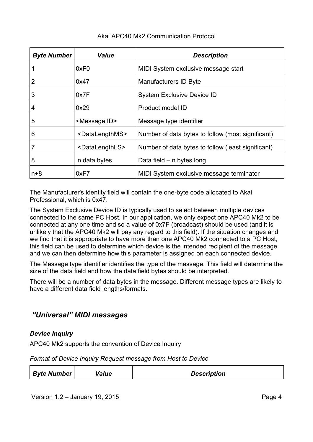| <b>Byte Number</b> | <b>Value</b>                  | <b>Description</b>                                 |  |
|--------------------|-------------------------------|----------------------------------------------------|--|
|                    | 0xF0                          | MIDI System exclusive message start                |  |
| 2                  | 0x47                          | Manufacturers ID Byte                              |  |
| 3                  | 0x7F                          | <b>System Exclusive Device ID</b>                  |  |
| 4                  | 0x29                          | Product model ID                                   |  |
| 5                  | <message id=""></message>     | Message type identifier                            |  |
| 6                  | <datalengthms></datalengthms> | Number of data bytes to follow (most significant)  |  |
|                    | <datalengthls></datalengthls> | Number of data bytes to follow (least significant) |  |
| 8                  | n data bytes                  | Data field $-$ n bytes long                        |  |
| $n+8$              | 0xF7                          | MIDI System exclusive message terminator           |  |

The Manufacturer's identity field will contain the one-byte code allocated to Akai Professional, which is 0x47.

The System Exclusive Device ID is typically used to select between multiple devices connected to the same PC Host. In our application, we only expect one APC40 Mk2 to be connected at any one time and so a value of 0x7F (broadcast) should be used (and it is unlikely that the APC40 Mk2 will pay any regard to this field). If the situation changes and we find that it is appropriate to have more than one APC40 Mk2 connected to a PC Host, this field can be used to determine which device is the intended recipient of the message and we can then determine how this parameter is assigned on each connected device.

The Message type identifier identifies the type of the message. This field will determine the size of the data field and how the data field bytes should be interpreted.

There will be a number of data bytes in the message. Different message types are likely to have a different data field lengths/formats.

# *"Universal" MIDI messages*

# *Device Inquiry*

APC40 Mk2 supports the convention of Device Inquiry

*Format of Device Inquiry Request message from Host to Device*

| Byte Number  <br>Value | <b>Description</b> |
|------------------------|--------------------|
|------------------------|--------------------|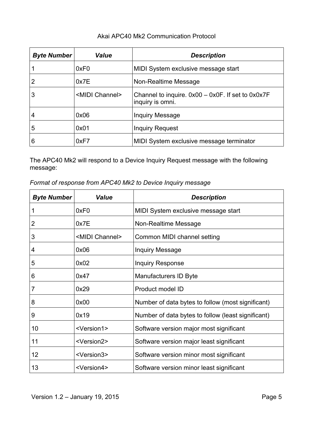| <b>Byte Number</b> | <b>Value</b>             | <b>Description</b>                                                         |
|--------------------|--------------------------|----------------------------------------------------------------------------|
|                    | 0xF0                     | MIDI System exclusive message start                                        |
| 2                  | 0x7E                     | Non-Realtime Message                                                       |
| 3                  | <midi channel=""></midi> | Channel to inquire. $0x00 - 0x0F$ . If set to $0x0x7F$<br>inquiry is omni. |
| 4                  | 0x06                     | Inquiry Message                                                            |
| 5                  | 0x01                     | <b>Inquiry Request</b>                                                     |
| 6                  | 0xF7                     | MIDI System exclusive message terminator                                   |

The APC40 Mk2 will respond to a Device Inquiry Request message with the following message:

| Format of response from APC40 Mk2 to Device Inquiry message |  |  |  |  |  |
|-------------------------------------------------------------|--|--|--|--|--|
|-------------------------------------------------------------|--|--|--|--|--|

| <b>Byte Number</b> | <b>Value</b>             | <b>Description</b>                                 |  |
|--------------------|--------------------------|----------------------------------------------------|--|
| 1                  | 0xF <sub>0</sub>         | MIDI System exclusive message start                |  |
| 2                  | 0x7E                     | Non-Realtime Message                               |  |
| 3                  | <midi channel=""></midi> | Common MIDI channel setting                        |  |
| $\overline{4}$     | 0x06                     | <b>Inquiry Message</b>                             |  |
| 5                  | 0x02                     | <b>Inquiry Response</b>                            |  |
| 6                  | 0x47                     | Manufacturers ID Byte                              |  |
| 7                  | 0x29                     | Product model ID                                   |  |
| 8                  | 0x00                     | Number of data bytes to follow (most significant)  |  |
| 9                  | 0x19                     | Number of data bytes to follow (least significant) |  |
| 10                 | <version1></version1>    | Software version major most significant            |  |
| 11                 | <version2></version2>    | Software version major least significant           |  |
| 12                 | <version3></version3>    | Software version minor most significant            |  |
| 13                 | <version4></version4>    | Software version minor least significant           |  |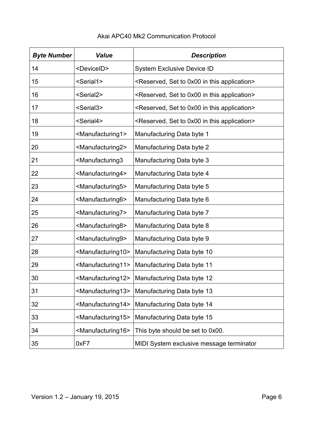| <b>Byte Number</b> | <b>Value</b>                                                                | <b>Description</b>                                                        |  |
|--------------------|-----------------------------------------------------------------------------|---------------------------------------------------------------------------|--|
| 14                 | <deviceid></deviceid>                                                       | <b>System Exclusive Device ID</b>                                         |  |
| 15                 | <serial1></serial1>                                                         | <reserved, 0x00="" application="" in="" set="" this="" to=""></reserved,> |  |
| 16                 | <serial2></serial2>                                                         | <reserved, 0x00="" application="" in="" set="" this="" to=""></reserved,> |  |
| 17                 | <serial3></serial3>                                                         | <reserved, 0x00="" application="" in="" set="" this="" to=""></reserved,> |  |
| 18                 | <serial4></serial4>                                                         | <reserved, 0x00="" application="" in="" set="" this="" to=""></reserved,> |  |
| 19                 | <manufacturing1></manufacturing1>                                           | Manufacturing Data byte 1                                                 |  |
| 20                 | <manufacturing2></manufacturing2>                                           | Manufacturing Data byte 2                                                 |  |
| 21                 | <manufacturing3< td=""><td>Manufacturing Data byte 3</td></manufacturing3<> | Manufacturing Data byte 3                                                 |  |
| 22                 | <manufacturing4></manufacturing4>                                           | Manufacturing Data byte 4                                                 |  |
| 23                 | <manufacturing5></manufacturing5>                                           | Manufacturing Data byte 5                                                 |  |
| 24                 | <manufacturing6></manufacturing6>                                           | Manufacturing Data byte 6                                                 |  |
| 25                 | <manufacturing7></manufacturing7>                                           | Manufacturing Data byte 7                                                 |  |
| 26                 | <manufacturing8></manufacturing8>                                           | Manufacturing Data byte 8                                                 |  |
| 27                 | <manufacturing9></manufacturing9>                                           | Manufacturing Data byte 9                                                 |  |
| 28                 | <manufacturing10></manufacturing10>                                         | Manufacturing Data byte 10                                                |  |
| 29                 | <manufacturing11></manufacturing11>                                         | Manufacturing Data byte 11                                                |  |
| 30                 | <manufacturing12></manufacturing12>                                         | Manufacturing Data byte 12                                                |  |
| 31                 | <manufacturing13></manufacturing13>                                         | Manufacturing Data byte 13                                                |  |
| 32                 | <manufacturing14></manufacturing14>                                         | Manufacturing Data byte 14                                                |  |
| 33                 | <manufacturing15></manufacturing15>                                         | Manufacturing Data byte 15                                                |  |
| 34                 | <manufacturing16></manufacturing16>                                         | This byte should be set to 0x00.                                          |  |
| 35                 | 0xF7                                                                        | MIDI System exclusive message terminator                                  |  |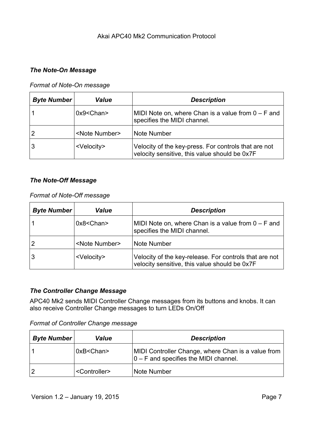#### *The Note-On Message*

*Format of Note-On message*

| <b>Byte Number</b> | <b>Value</b>            | <b>Description</b>                                                                                    |
|--------------------|-------------------------|-------------------------------------------------------------------------------------------------------|
|                    | $0x9 <$ Chan $>$        | MIDI Note on, where Chan is a value from $0 - F$ and<br>specifies the MIDI channel.                   |
|                    | <note number=""></note> | Note Number                                                                                           |
| 3                  | <velocity></velocity>   | Velocity of the key-press. For controls that are not<br>velocity sensitive, this value should be 0x7F |

#### *The Note-Off Message*

#### *Format of Note-Off message*

| <b>Byte Number</b> | <b>Value</b>            | <b>Description</b>                                                                                      |
|--------------------|-------------------------|---------------------------------------------------------------------------------------------------------|
|                    | $0x8 <$ Chan $>$        | MIDI Note on, where Chan is a value from $0 - F$ and<br>specifies the MIDI channel.                     |
| 2                  | <note number=""></note> | Note Number                                                                                             |
| 3                  | <velocity></velocity>   | Velocity of the key-release. For controls that are not<br>velocity sensitive, this value should be 0x7F |

#### *The Controller Change Message*

APC40 Mk2 sends MIDI Controller Change messages from its buttons and knobs. It can also receive Controller Change messages to turn LEDs On/Off

*Format of Controller Change message*

| <b>Byte Number</b> | <b>Value</b>              | <b>Description</b>                                                                             |
|--------------------|---------------------------|------------------------------------------------------------------------------------------------|
|                    | 0xB < Chan                | MIDI Controller Change, where Chan is a value from<br>$ 0 - F$ and specifies the MIDI channel. |
|                    | <controller></controller> | Note Number                                                                                    |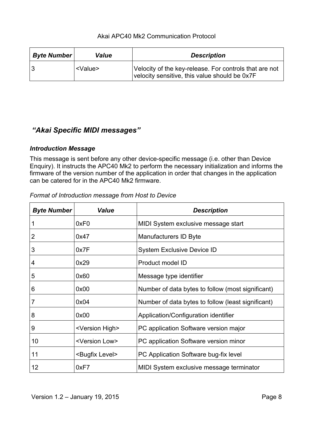| <b>Byte Number</b> | <b>Value</b>    | <b>Description</b>                                                                                      |
|--------------------|-----------------|---------------------------------------------------------------------------------------------------------|
|                    | <value></value> | Velocity of the key-release. For controls that are not<br>velocity sensitive, this value should be 0x7F |

# *"Akai Specific MIDI messages"*

# *Introduction Message*

This message is sent before any other device-specific message (i.e. other than Device Enquiry). It instructs the APC40 Mk2 to perform the necessary initialization and informs the firmware of the version number of the application in order that changes in the application can be catered for in the APC40 Mk2 firmware.

| <b>Byte Number</b> | <b>Value</b>                | <b>Description</b>                                 |  |
|--------------------|-----------------------------|----------------------------------------------------|--|
|                    | 0xF <sub>0</sub>            | MIDI System exclusive message start                |  |
| 2                  | 0x47                        | Manufacturers ID Byte                              |  |
| 3                  | 0x7F                        | <b>System Exclusive Device ID</b>                  |  |
| 4                  | 0x29                        | Product model ID                                   |  |
| 5                  | 0x60                        | Message type identifier                            |  |
| 6                  | 0x00                        | Number of data bytes to follow (most significant)  |  |
|                    | 0x04                        | Number of data bytes to follow (least significant) |  |
| 8                  | 0x00                        | Application/Configuration identifier               |  |
| 9                  | <version high=""></version> | PC application Software version major              |  |
| 10                 | <version low=""></version>  | PC application Software version minor              |  |
| 11                 | <bugfix level=""></bugfix>  | PC Application Software bug-fix level              |  |
| 12                 | 0xF7                        | MIDI System exclusive message terminator           |  |

*Format of Introduction message from Host to Device*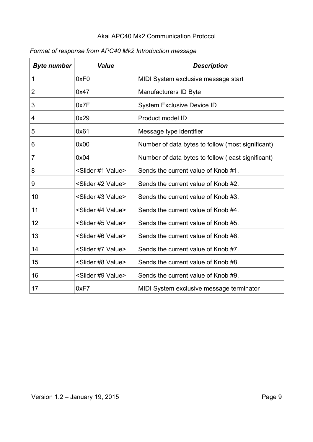| <b>Byte number</b> | <b>Value</b>                     | <b>Description</b>                                 |
|--------------------|----------------------------------|----------------------------------------------------|
| 1                  | 0xF0                             | MIDI System exclusive message start                |
| $\overline{2}$     | 0x47                             | Manufacturers ID Byte                              |
| 3                  | 0x7F                             | <b>System Exclusive Device ID</b>                  |
| 4                  | 0x29                             | Product model ID                                   |
| 5                  | 0x61                             | Message type identifier                            |
| 6                  | 0x00                             | Number of data bytes to follow (most significant)  |
| 7                  | 0x04                             | Number of data bytes to follow (least significant) |
| 8                  | <slider #1="" value=""></slider> | Sends the current value of Knob #1.                |
| 9                  | <slider #2="" value=""></slider> | Sends the current value of Knob #2.                |
| 10                 | <slider #3="" value=""></slider> | Sends the current value of Knob #3.                |
| 11                 | <slider #4="" value=""></slider> | Sends the current value of Knob #4.                |
| 12                 | <slider #5="" value=""></slider> | Sends the current value of Knob #5.                |
| 13                 | <slider #6="" value=""></slider> | Sends the current value of Knob #6.                |
| 14                 | <slider #7="" value=""></slider> | Sends the current value of Knob #7.                |
| 15                 | <slider #8="" value=""></slider> | Sends the current value of Knob #8.                |
| 16                 | <slider #9="" value=""></slider> | Sends the current value of Knob #9.                |
| 17                 | 0xF7                             | MIDI System exclusive message terminator           |

# *Format of response from APC40 Mk2 Introduction message*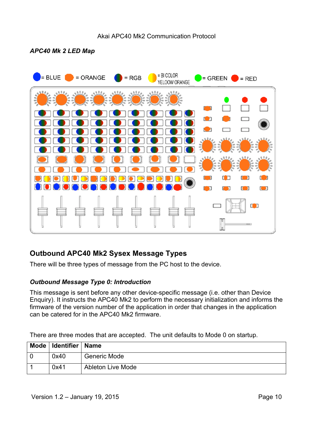#### *APC40 Mk 2 LED Map*



# **Outbound APC40 Mk2 Sysex Message Types**

There will be three types of message from the PC host to the device.

# *Outbound Message Type 0: Introduction*

This message is sent before any other device-specific message (i.e. other than Device Enquiry). It instructs the APC40 Mk2 to perform the necessary initialization and informs the firmware of the version number of the application in order that changes in the application can be catered for in the APC40 Mk2 firmware.

There are three modes that are accepted. The unit defaults to Mode 0 on startup.

| Mode   Identifier   Name |                          |
|--------------------------|--------------------------|
| 0x40                     | <b>Generic Mode</b>      |
| 0x41                     | <b>Ableton Live Mode</b> |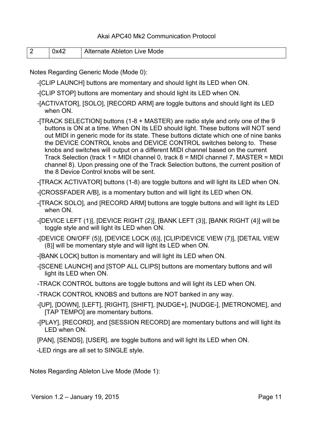|  | $\mathbf{u}$ | Alternate Ableton<br>Mode<br><b>IVA</b> |
|--|--------------|-----------------------------------------|
|--|--------------|-----------------------------------------|

Notes Regarding Generic Mode (Mode 0):

- -[CLIP LAUNCH] buttons are momentary and should light its LED when ON.
- -[CLIP STOP] buttons are momentary and should light its LED when ON.
- -[ACTIVATOR], [SOLO], [RECORD ARM] are toggle buttons and should light its LED when ON.
- -[TRACK SELECTION] buttons (1-8 + MASTER) are radio style and only one of the 9 buttons is ON at a time. When ON its LED should light. These buttons will NOT send out MIDI in generic mode for its state. These buttons dictate which one of nine banks the DEVICE CONTROL knobs and DEVICE CONTROL switches belong to. These knobs and switches will output on a different MIDI channel based on the current Track Selection (track 1 = MIDI channel 0, track 8 = MIDI channel 7, MASTER = MIDI channel 8). Upon pressing one of the Track Selection buttons, the current position of the 8 Device Control knobs will be sent.
- -[TRACK ACTIVATOR] buttons (1-8) are toggle buttons and will light its LED when ON.
- -[CROSSFADER A/B], is a momentary button and will light its LED when ON.
- -[TRACK SOLO], and [RECORD ARM] buttons are toggle buttons and will light its LED when ON.
- -[DEVICE LEFT (1)], [DEVICE RIGHT (2)], [BANK LEFT (3)], [BANK RIGHT (4)] will be toggle style and will light its LED when ON.
- -[DEVICE ON/OFF (5)], [DEVICE LOCK (6)], [CLIP/DEVICE VIEW (7)], [DETAIL VIEW (8)] will be momentary style and will light its LED when ON.
- -[BANK LOCK] button is momentary and will light its LED when ON.
- -[SCENE LAUNCH] and [STOP ALL CLIPS] buttons are momentary buttons and will light its LED when ON.
- -TRACK CONTROL buttons are toggle buttons and will light its LED when ON.
- -TRACK CONTROL KNOBS and buttons are NOT banked in any way.
- -[UP], [DOWN], [LEFT], [RIGHT], [SHIFT], [NUDGE+], [NUDGE-], [METRONOME], and [TAP TEMPO] are momentary buttons.
- -[PLAY], [RECORD], and [SESSION RECORD] are momentary buttons and will light its LED when ON.
- [PAN], [SENDS], [USER], are toggle buttons and will light its LED when ON.

-LED rings are all set to SINGLE style.

Notes Regarding Ableton Live Mode (Mode 1):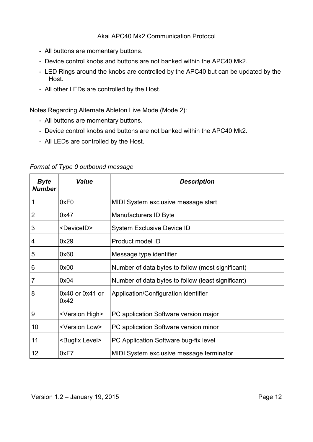- All buttons are momentary buttons.
- Device control knobs and buttons are not banked within the APC40 Mk2.
- LED Rings around the knobs are controlled by the APC40 but can be updated by the Host.
- All other LEDs are controlled by the Host.

Notes Regarding Alternate Ableton Live Mode (Mode 2):

- All buttons are momentary buttons.
- Device control knobs and buttons are not banked within the APC40 Mk2.
- All LEDs are controlled by the Host.

| <b>Byte</b><br><b>Number</b> | <b>Value</b>                | <b>Description</b>                                 |  |
|------------------------------|-----------------------------|----------------------------------------------------|--|
| 1                            | 0xF <sub>0</sub>            | MIDI System exclusive message start                |  |
| 2                            | 0x47                        | Manufacturers ID Byte                              |  |
| 3                            | <deviceid></deviceid>       | <b>System Exclusive Device ID</b>                  |  |
| 4                            | 0x29                        | Product model ID                                   |  |
| 5                            | 0x60                        | Message type identifier                            |  |
| 6                            | 0x00                        | Number of data bytes to follow (most significant)  |  |
| 7                            | 0x04                        | Number of data bytes to follow (least significant) |  |
| 8                            | $0x40$ or $0x41$ or<br>0x42 | Application/Configuration identifier               |  |
| 9                            | <version high=""></version> | PC application Software version major              |  |
| 10                           | <version low=""></version>  | PC application Software version minor              |  |
| 11                           | <bugfix level=""></bugfix>  | PC Application Software bug-fix level              |  |
| 12                           | 0xF7                        | MIDI System exclusive message terminator           |  |

*Format of Type 0 outbound message*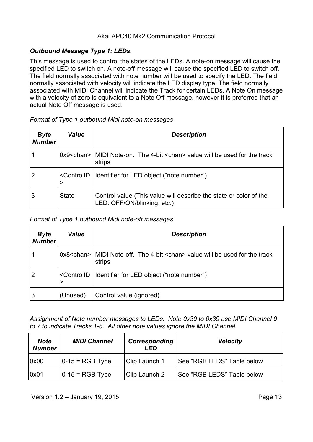# *Outbound Message Type 1: LEDs.*

This message is used to control the states of the LEDs. A note-on message will cause the specified LED to switch on. A note-off message will cause the specified LED to switch off. The field normally associated with note number will be used to specify the LED. The field normally associated with velocity will indicate the LED display type. The field normally associated with MIDI Channel will indicate the Track for certain LEDs. A Note On message with a velocity of zero is equivalent to a Note Off message, however it is preferred that an actual Note Off message is used.

| <b>Byte</b><br><b>Number</b> | Value                                                                              | <b>Description</b>                                                                                     |  |
|------------------------------|------------------------------------------------------------------------------------|--------------------------------------------------------------------------------------------------------|--|
|                              |                                                                                    | $0x9$ chan > $\vert$ MIDI Note-on. The 4-bit $\vert$ chan > value will be used for the track<br>strips |  |
|                              | <controlid< td=""><td> Identifier for LED object ("note number")</td></controlid<> | Identifier for LED object ("note number")                                                              |  |
|                              | State                                                                              | Control value (This value will describe the state or color of the<br>LED: OFF/ON/blinking, etc.)       |  |

#### *Format of Type 1 outbound Midi note-on messages*

#### *Format of Type 1 outbound Midi note-off messages*

| <b>Byte</b><br><b>Number</b> | <b>Value</b>                      | <b>Description</b>                                                                            |  |
|------------------------------|-----------------------------------|-----------------------------------------------------------------------------------------------|--|
|                              |                                   | $0x8$ < chan >   MIDI Note-off. The 4-bit < chan > value will be used for the track<br>strips |  |
|                              | <controlid<br>&gt;</controlid<br> | Identifier for LED object ("note number")                                                     |  |
| 3                            | (Unused)                          | Control value (ignored)                                                                       |  |

*Assignment of Note number messages to LEDs. Note 0x30 to 0x39 use MIDI Channel 0 to 7 to indicate Tracks 1-8. All other note values ignore the MIDI Channel.*

| <b>Note</b><br><b>Number</b> | <b>MIDI Channel</b> | Corresponding<br>I FD | <b>Velocity</b>            |
|------------------------------|---------------------|-----------------------|----------------------------|
| 0x00                         | $ 0-15 $ = RGB Type | Clip Launch 1         | See "RGB LEDS" Table below |
| 0x01                         | $ 0-15 $ = RGB Type | Clip Launch 2         | See "RGB LEDS" Table below |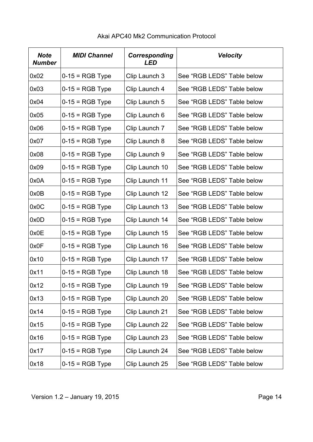| <b>Note</b><br><b>Number</b> | <b>MIDI Channel</b> | Corresponding<br><b>LED</b> | <b>Velocity</b>            |
|------------------------------|---------------------|-----------------------------|----------------------------|
| 0x02                         | $0-15 = RGB$ Type   | Clip Launch 3               | See "RGB LEDS" Table below |
| 0x03                         | $0-15 = RGB$ Type   | Clip Launch 4               | See "RGB LEDS" Table below |
| 0x04                         | $0-15 = RGB$ Type   | Clip Launch 5               | See "RGB LEDS" Table below |
| 0x05                         | $0-15 = RGB$ Type   | Clip Launch 6               | See "RGB LEDS" Table below |
| 0x06                         | $0-15 = RGB$ Type   | Clip Launch 7               | See "RGB LEDS" Table below |
| 0x07                         | $0-15 = RGB$ Type   | Clip Launch 8               | See "RGB LEDS" Table below |
| 0x08                         | $0-15 = RGB$ Type   | Clip Launch 9               | See "RGB LEDS" Table below |
| 0x09                         | $0-15 = RGB$ Type   | Clip Launch 10              | See "RGB LEDS" Table below |
| 0x0A                         | $0-15 = RGB$ Type   | Clip Launch 11              | See "RGB LEDS" Table below |
| 0x0B                         | $0-15 = RGB$ Type   | Clip Launch 12              | See "RGB LEDS" Table below |
| 0x0C                         | $0-15 = RGB$ Type   | Clip Launch 13              | See "RGB LEDS" Table below |
| 0x0D                         | $0-15 = RGB$ Type   | Clip Launch 14              | See "RGB LEDS" Table below |
| 0x0E                         | $0-15 = RGB$ Type   | Clip Launch 15              | See "RGB LEDS" Table below |
| 0x0F                         | $0-15 = RGB$ Type   | Clip Launch 16              | See "RGB LEDS" Table below |
| 0x10                         | $0-15 = RGB$ Type   | Clip Launch 17              | See "RGB LEDS" Table below |
| 0x11                         | $0-15 = RGB$ Type   | Clip Launch 18              | See "RGB LEDS" Table below |
| 0x12                         | $0-15 = RGB$ Type   | Clip Launch 19              | See "RGB LEDS" Table below |
| 0x13                         | $0-15 = RGB$ Type   | Clip Launch 20              | See "RGB LEDS" Table below |
| 0x14                         | $0-15 = RGB$ Type   | Clip Launch 21              | See "RGB LEDS" Table below |
| 0x15                         | $0-15 = RGB$ Type   | Clip Launch 22              | See "RGB LEDS" Table below |
| 0x16                         | $0-15 = RGB$ Type   | Clip Launch 23              | See "RGB LEDS" Table below |
| 0x17                         | $0-15 = RGB$ Type   | Clip Launch 24              | See "RGB LEDS" Table below |
| 0x18                         | $0-15 = RGB$ Type   | Clip Launch 25              | See "RGB LEDS" Table below |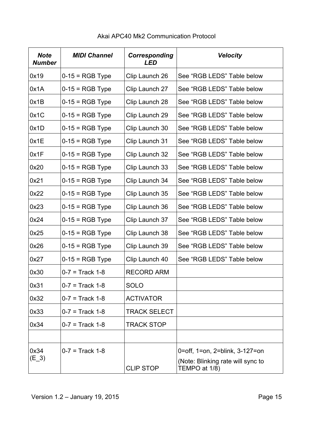| <b>Note</b><br><b>Number</b> | <b>MIDI Channel</b> | Corresponding<br><b>LED</b> | <b>Velocity</b>                                    |
|------------------------------|---------------------|-----------------------------|----------------------------------------------------|
| 0x19                         | $0-15 = RGB$ Type   | Clip Launch 26              | See "RGB LEDS" Table below                         |
| 0x1A                         | $0-15 = RGB$ Type   | Clip Launch 27              | See "RGB LEDS" Table below                         |
| 0x1B                         | $0-15 = RGB$ Type   | Clip Launch 28              | See "RGB LEDS" Table below                         |
| 0x1C                         | $0-15 = RGB$ Type   | Clip Launch 29              | See "RGB LEDS" Table below                         |
| 0x1D                         | $0-15 = RGB$ Type   | Clip Launch 30              | See "RGB LEDS" Table below                         |
| 0x1E                         | $0-15 = RGB$ Type   | Clip Launch 31              | See "RGB LEDS" Table below                         |
| 0x1F                         | $0-15 = RGB$ Type   | Clip Launch 32              | See "RGB LEDS" Table below                         |
| 0x20                         | $0-15 = RGB$ Type   | Clip Launch 33              | See "RGB LEDS" Table below                         |
| 0x21                         | $0-15 = RGB$ Type   | Clip Launch 34              | See "RGB LEDS" Table below                         |
| 0x22                         | $0-15 = RGB$ Type   | Clip Launch 35              | See "RGB LEDS" Table below                         |
| 0x23                         | $0-15 = RGB$ Type   | Clip Launch 36              | See "RGB LEDS" Table below                         |
| 0x24                         | $0-15 = RGB$ Type   | Clip Launch 37              | See "RGB LEDS" Table below                         |
| 0x25                         | $0-15 = RGB$ Type   | Clip Launch 38              | See "RGB LEDS" Table below                         |
| 0x26                         | $0-15 = RGB$ Type   | Clip Launch 39              | See "RGB LEDS" Table below                         |
| 0x27                         | $0-15 = RGB$ Type   | Clip Launch 40              | See "RGB LEDS" Table below                         |
| 0x30                         | $0 - 7 =$ Track 1-8 | <b>RECORD ARM</b>           |                                                    |
| 0x31                         | $0 - 7 =$ Track 1-8 | <b>SOLO</b>                 |                                                    |
| 0x32                         | $0 - 7 =$ Track 1-8 | <b>ACTIVATOR</b>            |                                                    |
| 0x33                         | $0 - 7 =$ Track 1-8 | <b>TRACK SELECT</b>         |                                                    |
| 0x34                         | $0 - 7 =$ Track 1-8 | <b>TRACK STOP</b>           |                                                    |
|                              |                     |                             |                                                    |
| 0x34                         | $0 - 7 =$ Track 1-8 |                             | 0=off, 1=on, 2=blink, 3-127=on                     |
| $(E_3)$                      |                     | <b>CLIP STOP</b>            | (Note: Blinking rate will sync to<br>TEMPO at 1/8) |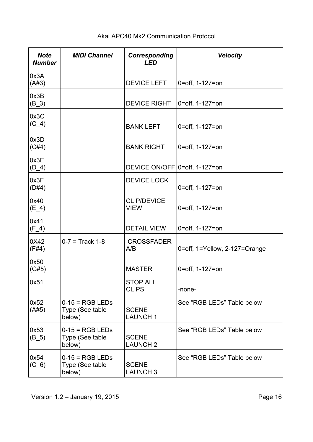| <b>Note</b><br><b>Number</b> | <b>MIDI Channel</b>                            | <b>Corresponding</b><br><b>LED</b> | <b>Velocity</b>               |
|------------------------------|------------------------------------------------|------------------------------------|-------------------------------|
| 0x3A<br>(A#3)                |                                                | <b>DEVICE LEFT</b>                 | 0=off, 1-127=on               |
| 0x3B<br>$(B_3)$              |                                                | <b>DEVICE RIGHT</b>                | 0=off, 1-127=on               |
| 0x3C<br>$(C_4)$              |                                                | <b>BANK LEFT</b>                   | 0=off, 1-127=on               |
| 0x3D<br>(C#4)                |                                                | <b>BANK RIGHT</b>                  | 0=off, 1-127=on               |
| 0x3E<br>$(D_4)$              |                                                | DEVICE ON/OFF 0=off, 1-127=on      |                               |
| 0x3F<br>(D#4)                |                                                | <b>DEVICE LOCK</b>                 | 0=off, 1-127=on               |
| 0x40<br>$(E_4)$              |                                                | <b>CLIP/DEVICE</b><br><b>VIEW</b>  | 0=off, 1-127=on               |
| 0x41<br>$(F_4)$              |                                                | <b>DETAIL VIEW</b>                 | 0=off, 1-127=on               |
| 0X42<br>(F#4)                | $0 - 7 =$ Track 1-8                            | <b>CROSSFADER</b><br>A/B           | 0=off, 1=Yellow, 2-127=Orange |
| 0x50<br>(G#5)                |                                                | <b>MASTER</b>                      | 0=off, 1-127=on               |
| 0x51                         |                                                | <b>STOP ALL</b><br><b>CLIPS</b>    | -none-                        |
| 0x52<br>(A#5)                | $0-15 = RGB LEDs$<br>Type (See table<br>below) | <b>SCENE</b><br><b>LAUNCH1</b>     | See "RGB LEDs" Table below    |
| 0x53<br>$(B_5)$              | $0-15 = RGB LEDs$<br>Type (See table<br>below) | <b>SCENE</b><br><b>LAUNCH 2</b>    | See "RGB LEDs" Table below    |
| 0x54<br>$(C_6)$              | $0-15 = RGB LEDs$<br>Type (See table<br>below) | <b>SCENE</b><br><b>LAUNCH 3</b>    | See "RGB LEDs" Table below    |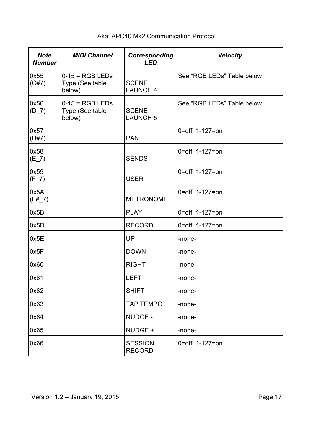| <b>Note</b><br><b>Number</b> | <b>MIDI Channel</b>                            | <b>Corresponding</b><br><b>LED</b> | <b>Velocity</b>            |
|------------------------------|------------------------------------------------|------------------------------------|----------------------------|
| 0x55<br>(C#7)                | $0-15 = RGB LEDs$<br>Type (See table<br>below) | <b>SCENE</b><br><b>LAUNCH 4</b>    | See "RGB LEDs" Table below |
| 0x56<br>$(D_7)$              | $0-15 = RGB LEDs$<br>Type (See table<br>below) | <b>SCENE</b><br><b>LAUNCH 5</b>    | See "RGB LEDs" Table below |
| 0x57<br>(D#7)                |                                                | <b>PAN</b>                         | 0=off, 1-127=on            |
| 0x58<br>$(E_7)$              |                                                | <b>SENDS</b>                       | 0=off, 1-127=on            |
| 0x59<br>$(F_7)$              |                                                | <b>USER</b>                        | 0=off, 1-127=on            |
| 0x5A<br>$(F#_7)$             |                                                | <b>METRONOME</b>                   | 0=off, 1-127=on            |
| 0x5B                         |                                                | <b>PLAY</b>                        | 0=off, 1-127=on            |
| 0x5D                         |                                                | <b>RECORD</b>                      | 0=off, 1-127=on            |
| 0x5E                         |                                                | UP                                 | -none-                     |
| 0x5F                         |                                                | <b>DOWN</b>                        | -none-                     |
| 0x60                         |                                                | <b>RIGHT</b>                       | -none-                     |
| 0x61                         |                                                | <b>LEFT</b>                        | -none-                     |
| 0x62                         |                                                | <b>SHIFT</b>                       | -none-                     |
| 0x63                         |                                                | <b>TAP TEMPO</b>                   | -none-                     |
| 0x64                         |                                                | NUDGE -                            | -none-                     |
| 0x65                         |                                                | NUDGE +                            | -none-                     |
| 0x66                         |                                                | <b>SESSION</b><br><b>RECORD</b>    | 0=off, 1-127=on            |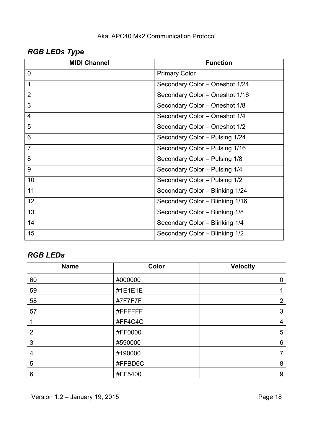# *RGB LEDs Type*

| <b>MIDI Channel</b> | <b>Function</b>                 |
|---------------------|---------------------------------|
| $\overline{0}$      | <b>Primary Color</b>            |
| 1                   | Secondary Color - Oneshot 1/24  |
| $\overline{2}$      | Secondary Color - Oneshot 1/16  |
| 3                   | Secondary Color - Oneshot 1/8   |
| $\overline{4}$      | Secondary Color - Oneshot 1/4   |
| 5                   | Secondary Color - Oneshot 1/2   |
| 6                   | Secondary Color - Pulsing 1/24  |
| $\overline{7}$      | Secondary Color - Pulsing 1/16  |
| 8                   | Secondary Color - Pulsing 1/8   |
| 9                   | Secondary Color - Pulsing 1/4   |
| 10                  | Secondary Color - Pulsing 1/2   |
| 11                  | Secondary Color - Blinking 1/24 |
| 12                  | Secondary Color - Blinking 1/16 |
| 13                  | Secondary Color - Blinking 1/8  |
| 14                  | Secondary Color - Blinking 1/4  |
| 15                  | Secondary Color - Blinking 1/2  |

# *RGB LEDs*

| <b>Name</b> | Color    | <b>Velocity</b> |
|-------------|----------|-----------------|
| 60          | #000000  | $\mathbf 0$     |
| 59          | #1E1E1E  | 1               |
| 58          | #7F7F7F  | $\overline{2}$  |
| 57          | #FFFFFFF | $\mathfrak{S}$  |
|             | #FF4C4C  | $\overline{4}$  |
| 2           | #FF0000  | 5               |
| 3           | #590000  | $6\,$           |
| 4           | #190000  | 7               |
| 5           | #FFBD6C  | 8               |
| 6           | #FF5400  | 9               |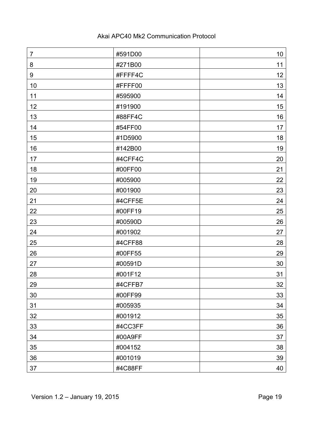| $\overline{7}$ | #591D00 | 10 <sub>1</sub> |
|----------------|---------|-----------------|
| 8              | #271B00 | 11              |
| 9              | #FFFF4C | 12              |
| 10             | #FFFF00 | 13              |
| 11             | #595900 | 14              |
| 12             | #191900 | 15              |
| 13             | #88FF4C | 16              |
| 14             | #54FF00 | 17              |
| 15             | #1D5900 | 18              |
| 16             | #142B00 | 19              |
| 17             | #4CFF4C | 20              |
| 18             | #00FF00 | 21              |
| 19             | #005900 | 22              |
| 20             | #001900 | 23              |
| 21             | #4CFF5E | 24              |
| 22             | #00FF19 | 25              |
| 23             | #00590D | 26              |
| 24             | #001902 | 27              |
| 25             | #4CFF88 | 28              |
| 26             | #00FF55 | 29              |
| 27             | #00591D | 30              |
| 28             | #001F12 | 31              |
| 29             | #4CFFB7 | 32              |
| 30             | #00FF99 | 33              |
| 31             | #005935 | 34              |
| 32             | #001912 | 35              |
| 33             | #4CC3FF | 36              |
| 34             | #00A9FF | 37              |
| 35             | #004152 | 38              |
| 36             | #001019 | 39              |
| 37             | #4C88FF | 40              |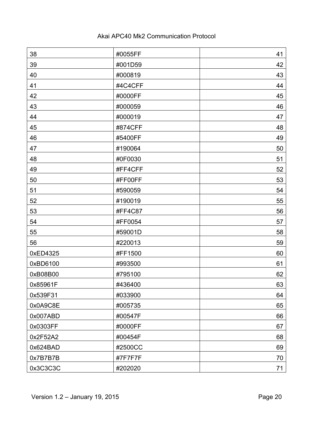| 38       | #0055FF | 41 |
|----------|---------|----|
| 39       | #001D59 | 42 |
| 40       | #000819 | 43 |
| 41       | #4C4CFF | 44 |
| 42       | #0000FF | 45 |
| 43       | #000059 | 46 |
| 44       | #000019 | 47 |
| 45       | #874CFF | 48 |
| 46       | #5400FF | 49 |
| 47       | #190064 | 50 |
| 48       | #0F0030 | 51 |
| 49       | #FF4CFF | 52 |
| 50       | #FF00FF | 53 |
| 51       | #590059 | 54 |
| 52       | #190019 | 55 |
| 53       | #FF4C87 | 56 |
| 54       | #FF0054 | 57 |
| 55       | #59001D | 58 |
| 56       | #220013 | 59 |
| 0xED4325 | #FF1500 | 60 |
| 0xBD6100 | #993500 | 61 |
| 0xB08B00 | #795100 | 62 |
| 0x85961F | #436400 | 63 |
| 0x539F31 | #033900 | 64 |
| 0x0A9C8E | #005735 | 65 |
| 0x007ABD | #00547F | 66 |
| 0x0303FF | #0000FF | 67 |
| 0x2F52A2 | #00454F | 68 |
| 0x624BAD | #2500CC | 69 |
| 0x7B7B7B | #7F7F7F | 70 |
| 0x3C3C3C | #202020 | 71 |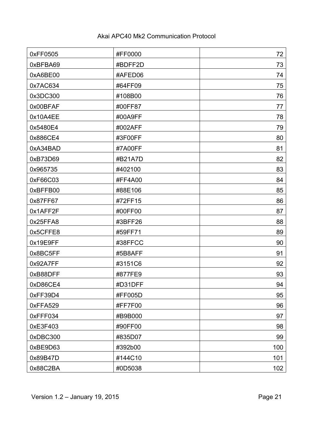| 0xFF0505 | #FF0000 | 72  |
|----------|---------|-----|
| 0xBFBA69 | #BDFF2D | 73  |
| 0xA6BE00 | #AFED06 | 74  |
| 0x7AC634 | #64FF09 | 75  |
| 0x3DC300 | #108B00 | 76  |
| 0x00BFAF | #00FF87 | 77  |
| 0x10A4EE | #00A9FF | 78  |
| 0x5480E4 | #002AFF | 79  |
| 0x886CE4 | #3F00FF | 80  |
| 0xA34BAD | #7A00FF | 81  |
| 0xB73D69 | #B21A7D | 82  |
| 0x965735 | #402100 | 83  |
| 0xF66C03 | #FF4A00 | 84  |
| 0xBFFB00 | #88E106 | 85  |
| 0x87FF67 | #72FF15 | 86  |
| 0x1AFF2F | #00FF00 | 87  |
| 0x25FFA8 | #3BFF26 | 88  |
| 0x5CFFE8 | #59FF71 | 89  |
| 0x19E9FF | #38FFCC | 90  |
| 0x8BC5FF | #5B8AFF | 91  |
| 0x92A7FF | #3151C6 | 92  |
| 0xB88DFF | #877FE9 | 93  |
| 0xD86CE4 | #D31DFF | 94  |
| 0xFF39D4 | #FF005D | 95  |
| 0xFFA529 | #FF7F00 | 96  |
| 0xFFF034 | #B9B000 | 97  |
| 0xE3F403 | #90FF00 | 98  |
| 0xDBC300 | #835D07 | 99  |
| 0xBE9D63 | #392b00 | 100 |
| 0x89B47D | #144C10 | 101 |
| 0x88C2BA | #0D5038 | 102 |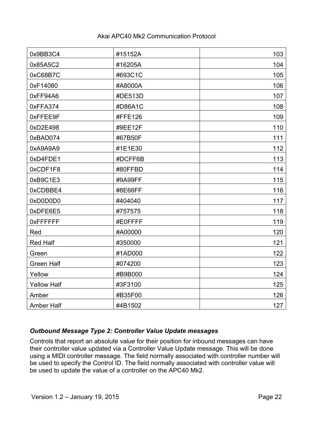| 0x9BB3C4           | #15152A | 103 |
|--------------------|---------|-----|
| 0x85A5C2           | #16205A | 104 |
| 0xC68B7C           | #693C1C | 105 |
| 0xF14080           | #A8000A | 106 |
| 0xFF94A6           | #DE513D | 107 |
| 0xFFA374           | #D86A1C | 108 |
| 0xFFEE9F           | #FFE126 | 109 |
| 0xD2E498           | #9EE12F | 110 |
| 0xBAD074           | #67B50F | 111 |
| 0xA9A9A9           | #1E1E30 | 112 |
| 0xD4FDE1           | #DCFF6B | 113 |
| 0xCDF1F8           | #80FFBD | 114 |
| 0xB9C1E3           | #9A99FF | 115 |
| 0xCDBBE4           | #8E66FF | 116 |
| 0xD0D0D0           | #404040 | 117 |
| 0xDFE6E5           | #757575 | 118 |
| <b>OXFFFFFFF</b>   | #E0FFFF | 119 |
| Red                | #A00000 | 120 |
| <b>Red Half</b>    | #350000 | 121 |
| Green              | #1AD000 | 122 |
| <b>Green Half</b>  | #074200 | 123 |
| Yellow             | #B9B000 | 124 |
| <b>Yellow Half</b> | #3F3100 | 125 |
| Amber              | #B35F00 | 126 |
| <b>Amber Half</b>  | #4B1502 | 127 |

# *Outbound Message Type 2: Controller Value Update messages*

Controls that report an absolute value for their position for inbound messages can have their controller value updated via a Controller Value Update message. This will be done using a MIDI controller message. The field normally associated with controller number will be used to specify the Control ID. The field normally associated with controller value will be used to update the value of a controller on the APC40 Mk2.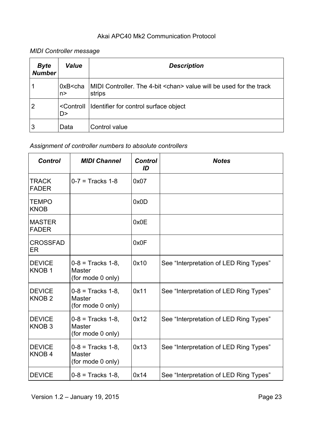# *MIDI Controller message*

| <b>Byte</b><br><b>Number</b> | Value                            | <b>Description</b>                                                                   |
|------------------------------|----------------------------------|--------------------------------------------------------------------------------------|
|                              | $0xB$ cha<br>n>                  | MIDI Controller. The 4-bit <chan> value will be used for the track<br/>strips</chan> |
| $\overline{2}$               | <controll<br>D&gt;</controll<br> | Identifier for control surface object                                                |
| 3                            | Data                             | Control value                                                                        |

# *Assignment of controller numbers to absolute controllers*

| <b>Control</b>                     | <b>MIDI Channel</b>                                         | <b>Control</b><br>ID | <b>Notes</b>                           |
|------------------------------------|-------------------------------------------------------------|----------------------|----------------------------------------|
| <b>TRACK</b><br><b>FADER</b>       | $0 - 7 =$ Tracks 1-8                                        | 0x07                 |                                        |
| <b>TEMPO</b><br><b>KNOB</b>        |                                                             | 0x0D                 |                                        |
| <b>MASTER</b><br><b>FADER</b>      |                                                             | 0x0E                 |                                        |
| <b>CROSSFAD</b><br>ER              |                                                             | 0x0F                 |                                        |
| <b>DEVICE</b><br>KNOB <sub>1</sub> | $0-8$ = Tracks 1-8,<br><b>Master</b><br>(for mode 0 only)   | 0x10                 | See "Interpretation of LED Ring Types" |
| <b>DEVICE</b><br>KNOB <sub>2</sub> | $0-8$ = Tracks 1-8,<br><b>Master</b><br>(for mode 0 only)   | 0x11                 | See "Interpretation of LED Ring Types" |
| <b>DEVICE</b><br>KNOB <sub>3</sub> | $0 - 8 =$ Tracks 1-8,<br><b>Master</b><br>(for mode 0 only) | 0x12                 | See "Interpretation of LED Ring Types" |
| <b>DEVICE</b><br>KNOB <sub>4</sub> | $0-8$ = Tracks 1-8,<br><b>Master</b><br>(for mode 0 only)   | 0x13                 | See "Interpretation of LED Ring Types" |
| <b>DEVICE</b>                      | $0 - 8 =$ Tracks 1-8,                                       | 0x14                 | See "Interpretation of LED Ring Types" |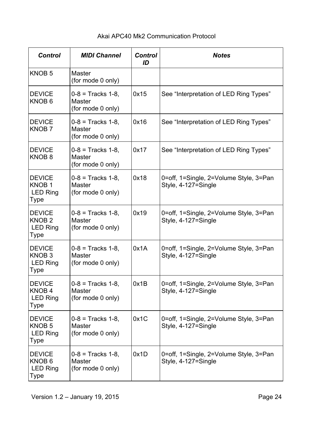#### *Control MIDI Channel Control ID Notes* KNOB 5 Master (for mode 0 only) **DEVICE** KNOB 6  $0 - 8 =$  Tracks 1-8, **Master** (for mode 0 only) 0x15 See "Interpretation of LED Ring Types" **DEVICE** KNOB 7  $0 - 8 =$  Tracks 1-8. **Master** (for mode 0 only) 0x16 See "Interpretation of LED Ring Types" **DEVICE** KNOB 8  $0 - 8 =$  Tracks 1-8, Master (for mode 0 only) 0x17 See "Interpretation of LED Ring Types" **DEVICE** KNOB 1 LED Ring Type  $0 - 8 =$  Tracks 1-8. Master (for mode 0 only)  $0x18$   $|0=$ off, 1=Single, 2=Volume Style, 3=Pan Style, 4-127=Single **DEVICE** KNOB 2 LED Ring Type  $0 - 8 =$  Tracks 1-8. Master (for mode 0 only) 0x19 | 0=off, 1=Single, 2=Volume Style, 3=Pan Style, 4-127=Single **DEVICE** KNOB 3 LED Ring Type  $0 - 8 =$  Tracks 1-8. **Master** (for mode 0 only) 0x1A 0=off, 1=Single, 2=Volume Style, 3=Pan Style, 4-127=Single **DEVICE** KNOB 4 LED Ring Type 0-8 = Tracks 1-8, **Master** (for mode 0 only) 0x1B | 0=off, 1=Single, 2=Volume Style, 3=Pan Style, 4-127=Single **DEVICE** KNOB 5 LED Ring Type  $0 - 8 =$  Tracks 1-8. **Master** (for mode 0 only)  $0x1C$   $|0=$ off, 1=Single, 2=Volume Style, 3=Pan Style, 4-127=Single **DEVICE** KNOB 6 LED Ring Type  $0 - 8 =$  Tracks 1-8 **Master** (for mode 0 only) 0x1D | 0=off, 1=Single, 2=Volume Style, 3=Pan Style, 4-127=Single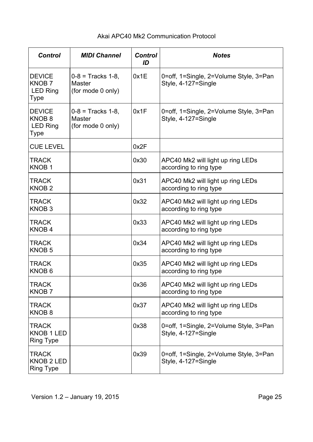| <b>Control</b>                                                | <b>MIDI Channel</b>                                       | <b>Control</b><br>ID | <b>Notes</b>                                                  |
|---------------------------------------------------------------|-----------------------------------------------------------|----------------------|---------------------------------------------------------------|
| <b>DEVICE</b><br>KNOB <sub>7</sub><br><b>LED Ring</b><br>Type | $0-8$ = Tracks 1-8,<br><b>Master</b><br>(for mode 0 only) | 0x1E                 | 0=off, 1=Single, 2=Volume Style, 3=Pan<br>Style, 4-127=Single |
| <b>DEVICE</b><br>KNOB <sub>8</sub><br><b>LED Ring</b><br>Type | $0-8$ = Tracks 1-8.<br><b>Master</b><br>(for mode 0 only) | 0x1F                 | 0=off, 1=Single, 2=Volume Style, 3=Pan<br>Style, 4-127=Single |
| <b>CUE LEVEL</b>                                              |                                                           | 0x2F                 |                                                               |
| <b>TRACK</b><br>KNOB <sub>1</sub>                             |                                                           | 0x30                 | APC40 Mk2 will light up ring LEDs<br>according to ring type   |
| <b>TRACK</b><br>KNOB <sub>2</sub>                             |                                                           | 0x31                 | APC40 Mk2 will light up ring LEDs<br>according to ring type   |
| <b>TRACK</b><br>KNOB <sub>3</sub>                             |                                                           | 0x32                 | APC40 Mk2 will light up ring LEDs<br>according to ring type   |
| <b>TRACK</b><br>KNOB <sub>4</sub>                             |                                                           | 0x33                 | APC40 Mk2 will light up ring LEDs<br>according to ring type   |
| <b>TRACK</b><br><b>KNOB 5</b>                                 |                                                           | 0x34                 | APC40 Mk2 will light up ring LEDs<br>according to ring type   |
| <b>TRACK</b><br>KNOB <sub>6</sub>                             |                                                           | 0x35                 | APC40 Mk2 will light up ring LEDs<br>according to ring type   |
| <b>TRACK</b><br><b>KNOB7</b>                                  |                                                           | 0x36                 | APC40 Mk2 will light up ring LEDs<br>according to ring type   |
| <b>TRACK</b><br>KNOB <sub>8</sub>                             |                                                           | 0x37                 | APC40 Mk2 will light up ring LEDs<br>according to ring type   |
| <b>TRACK</b><br><b>KNOB 1 LED</b><br><b>Ring Type</b>         |                                                           | 0x38                 | 0=off, 1=Single, 2=Volume Style, 3=Pan<br>Style, 4-127=Single |
| <b>TRACK</b><br>KNOB 2 LED<br><b>Ring Type</b>                |                                                           | 0x39                 | 0=off, 1=Single, 2=Volume Style, 3=Pan<br>Style, 4-127=Single |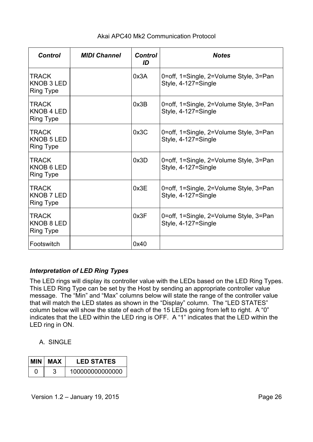| <b>Control</b>                                        | <b>MIDI Channel</b> | <b>Control</b><br>ID | <b>Notes</b>                                                  |
|-------------------------------------------------------|---------------------|----------------------|---------------------------------------------------------------|
| <b>TRACK</b><br><b>KNOB 3 LED</b><br><b>Ring Type</b> |                     | 0x3A                 | 0=off, 1=Single, 2=Volume Style, 3=Pan<br>Style, 4-127=Single |
| <b>TRACK</b><br><b>KNOB 4 LED</b><br><b>Ring Type</b> |                     | 0x3B                 | 0=off, 1=Single, 2=Volume Style, 3=Pan<br>Style, 4-127=Single |
| <b>TRACK</b><br>KNOB 5 LED<br><b>Ring Type</b>        |                     | 0x3C                 | 0=off, 1=Single, 2=Volume Style, 3=Pan<br>Style, 4-127=Single |
| <b>TRACK</b><br>KNOB 6 LED<br><b>Ring Type</b>        |                     | 0x3D                 | 0=off, 1=Single, 2=Volume Style, 3=Pan<br>Style, 4-127=Single |
| <b>TRACK</b><br><b>KNOB 7 LED</b><br><b>Ring Type</b> |                     | 0x3E                 | 0=off, 1=Single, 2=Volume Style, 3=Pan<br>Style, 4-127=Single |
| <b>TRACK</b><br>KNOB 8 LED<br><b>Ring Type</b>        |                     | 0x3F                 | 0=off, 1=Single, 2=Volume Style, 3=Pan<br>Style, 4-127=Single |
| Footswitch                                            |                     | 0x40                 |                                                               |

# *Interpretation of LED Ring Types*

The LED rings will display its controller value with the LEDs based on the LED Ring Types. This LED Ring Type can be set by the Host by sending an appropriate controller value message. The "Min" and "Max" columns below will state the range of the controller value that will match the LED states as shown in the "Display" column. The "LED STATES" column below will show the state of each of the 15 LEDs going from left to right. A "0" indicates that the LED within the LED ring is OFF. A "1" indicates that the LED within the LED ring in ON.

# A. SINGLE

| MIN I | MAX | <b>LED STATES</b> |
|-------|-----|-------------------|
| O     |     | 100000000000000   |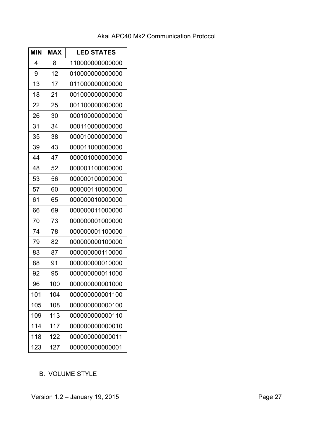| <b>MIN</b> | <b>MAX</b> | <b>LED STATES</b> |
|------------|------------|-------------------|
| 4          | 8          | 110000000000000   |
| 9          | 12         | 01000000000000    |
| 13         | 17         | 011000000000000   |
| 18         | 21         | 001000000000000   |
| 22         | 25         | 001100000000000   |
| 26         | 30         | 000100000000000   |
| 31         | 34         | 000110000000000   |
| 35         | 38         | 000010000000000   |
| 39         | 43         | 000011000000000   |
| 44         | 47         | 000001000000000   |
| 48         | 52         | 000001100000000   |
| 53         | 56         | 000000100000000   |
| 57         | 60         | 000000110000000   |
| 61         | 65         | 000000010000000   |
| 66         | 69         | 000000011000000   |
| 70         | 73         | 000000001000000   |
| 74         | 78         | 000000001100000   |
| 79         | 82         | 000000000100000   |
| 83         | 87         | 000000000110000   |
| 88         | 91         | 000000000010000   |
| 92         | 95         | 000000000011000   |
| 96         | 100        | 000000000001000   |
| 101        | 104        | 000000000001100   |
| 105        | 108        | 00000000000100    |
| 109        | 113        | 00000000000110    |
| 114        | 117        | 00000000000010    |
| 118        | 122        | 000000000000011   |
| 123        | 127        | 00000000000001    |

# B. VOLUME STYLE

Version 1.2 - January 19, 2015 **Page 27**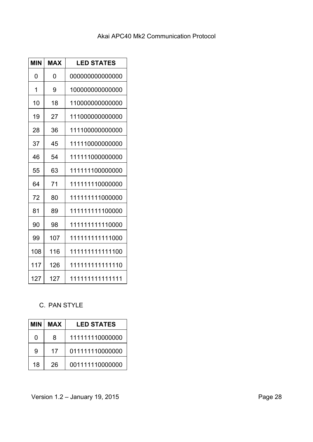| <b>MIN</b> | <b>MAX</b> | <b>LED STATES</b> |
|------------|------------|-------------------|
| 0          | 0          | 000000000000000   |
| 1          | 9          | 100000000000000   |
| 10         | 18         | 110000000000000   |
| 19         | 27         | 111000000000000   |
| 28         | 36         | 111100000000000   |
| 37         | 45         | 111110000000000   |
| 46         | 54         | 111111000000000   |
| 55         | 63         | 111111100000000   |
| 64         | 71         | 111111110000000   |
| 72         | 80         | 111111111000000   |
| 81         | 89         | 111111111100000   |
| 90         | 98         | 111111111110000   |
| 99         | 107        | 111111111111000   |
| 108        | 116        | 111111111111100   |
| 117        | 126        | 111111111111110   |
| 127        | 127        | 111111111111111   |

# C. PAN STYLE

| MIN | <b>MAX</b> | <b>LED STATES</b> |
|-----|------------|-------------------|
| 0   | 8          | 111111110000000   |
| 9   | 17         | 011111110000000   |
| 18  | 26         | 001111110000000   |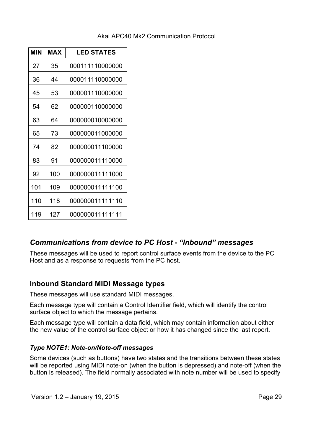| <b>MIN</b> | MAX | <b>LED STATES</b> |
|------------|-----|-------------------|
| 27         | 35  | 000111110000000   |
| 36         | 44  | 000011110000000   |
| 45         | 53  | 000001110000000   |
| 54         | 62  | 000000110000000   |
| 63         | 64  | 000000010000000   |
| 65         | 73  | 000000011000000   |
| 74         | 82  | 000000011100000   |
| 83         | 91  | 000000011110000   |
| 92         | 100 | 000000011111000   |
| 101        | 109 | 000000011111100   |
| 110        | 118 | 000000011111110   |
| 119        | 127 | 000000011111111   |

# *Communications from device to PC Host - "Inbound" messages*

These messages will be used to report control surface events from the device to the PC Host and as a response to requests from the PC host.

# **Inbound Standard MIDI Message types**

These messages will use standard MIDI messages.

Each message type will contain a Control Identifier field, which will identify the control surface object to which the message pertains.

Each message type will contain a data field, which may contain information about either the new value of the control surface object or how it has changed since the last report.

# *Type NOTE1: Note-on/Note-off messages*

Some devices (such as buttons) have two states and the transitions between these states will be reported using MIDI note-on (when the button is depressed) and note-off (when the button is released). The field normally associated with note number will be used to specify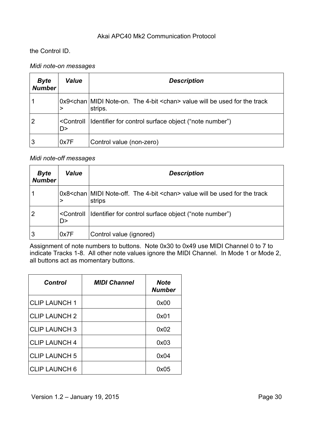the Control ID.

#### *Midi note-on messages*

| <b>Byte</b><br><b>Number</b> | Value | <b>Description</b>                                                                                           |
|------------------------------|-------|--------------------------------------------------------------------------------------------------------------|
|                              |       | 0x9 <chan 4-bit="" <chan="" midi="" note-on.="" the=""> value will be used for the track<br/>strips.</chan>  |
|                              | D >   | <controll ("note="" control="" for="" identifier="" number")<="" object="" surface="" td=""  =""></controll> |
| 3                            | 0x7F  | Control value (non-zero)                                                                                     |

#### *Midi note-off messages*

| <b>Byte</b><br><b>Number</b> | <b>Value</b> | <b>Description</b>                                                                                           |
|------------------------------|--------------|--------------------------------------------------------------------------------------------------------------|
|                              |              | 0x8 < chan MIDI Note-off. The 4-bit < chan > value will be used for the track<br>strips                      |
|                              | D>           | <controll ("note="" control="" for="" identifier="" number")<="" object="" surface="" td=""  =""></controll> |
| 3                            | 0x7F         | Control value (ignored)                                                                                      |

Assignment of note numbers to buttons. Note 0x30 to 0x49 use MIDI Channel 0 to 7 to indicate Tracks 1-8. All other note values ignore the MIDI Channel. In Mode 1 or Mode 2, all buttons act as momentary buttons.

| Control              | <b>MIDI Channel</b> | <b>Note</b><br><b>Number</b> |
|----------------------|---------------------|------------------------------|
| <b>CLIP LAUNCH 1</b> |                     | 0x00                         |
| <b>CLIP LAUNCH 2</b> |                     | 0x01                         |
| <b>CLIP LAUNCH 3</b> |                     | 0x02                         |
| <b>CLIP LAUNCH 4</b> |                     | 0x03                         |
| <b>CLIP LAUNCH 5</b> |                     | 0x04                         |
| <b>CLIP LAUNCH 6</b> |                     | 0x05                         |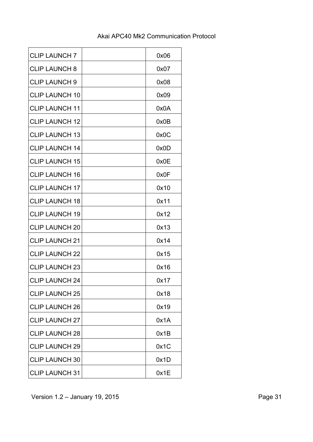| <b>CLIP LAUNCH 7</b>  | 0x06 |
|-----------------------|------|
| <b>CLIP LAUNCH 8</b>  | 0x07 |
| <b>CLIP LAUNCH 9</b>  | 0x08 |
| <b>CLIP LAUNCH 10</b> | 0x09 |
| <b>CLIP LAUNCH 11</b> | 0x0A |
| <b>CLIP LAUNCH 12</b> | 0x0B |
| <b>CLIP LAUNCH 13</b> | 0x0C |
| <b>CLIP LAUNCH 14</b> | 0x0D |
| <b>CLIP LAUNCH 15</b> | 0x0E |
| <b>CLIP LAUNCH 16</b> | 0x0F |
| <b>CLIP LAUNCH 17</b> | 0x10 |
| <b>CLIP LAUNCH 18</b> | 0x11 |
| <b>CLIP LAUNCH 19</b> | 0x12 |
| <b>CLIP LAUNCH 20</b> | 0x13 |
| <b>CLIP LAUNCH 21</b> | 0x14 |
| <b>CLIP LAUNCH 22</b> | 0x15 |
| <b>CLIP LAUNCH 23</b> | 0x16 |
| <b>CLIP LAUNCH 24</b> | 0x17 |
| <b>CLIP LAUNCH 25</b> | 0x18 |
| <b>CLIP LAUNCH 26</b> | 0x19 |
| <b>CLIP LAUNCH 27</b> | 0x1A |
| <b>CLIP LAUNCH 28</b> | 0x1B |
| <b>CLIP LAUNCH 29</b> | 0x1C |
| <b>CLIP LAUNCH 30</b> | 0x1D |
| <b>CLIP LAUNCH 31</b> | 0x1E |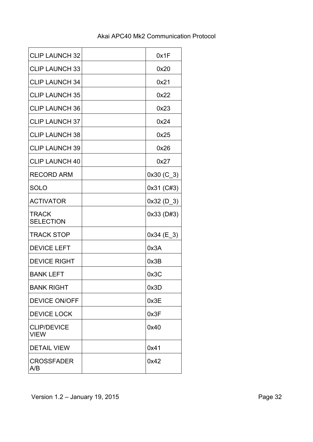| <b>CLIP LAUNCH 32</b>             | 0x1F         |
|-----------------------------------|--------------|
| <b>CLIP LAUNCH 33</b>             | 0x20         |
| <b>CLIP LAUNCH 34</b>             | 0x21         |
| <b>CLIP LAUNCH 35</b>             | 0x22         |
| <b>CLIP LAUNCH 36</b>             | 0x23         |
| <b>CLIP LAUNCH 37</b>             | 0x24         |
| <b>CLIP LAUNCH 38</b>             | 0x25         |
| <b>CLIP LAUNCH 39</b>             | 0x26         |
| <b>CLIP LAUNCH 40</b>             | 0x27         |
| <b>RECORD ARM</b>                 | $0x30 (C_3)$ |
| <b>SOLO</b>                       | 0x31 (C#3)   |
| <b>ACTIVATOR</b>                  | $0x32 (D_3)$ |
| <b>TRACK</b><br><b>SELECTION</b>  | 0x33 (D#3)   |
| <b>TRACK STOP</b>                 | $0x34$ (E 3) |
| <b>DEVICE LEFT</b>                | 0x3A         |
| <b>DEVICE RIGHT</b>               | 0x3B         |
| <b>BANK LEFT</b>                  | 0x3C         |
| <b>BANK RIGHT</b>                 | 0x3D         |
| <b>DEVICE ON/OFF</b>              | 0x3E         |
| <b>DEVICE LOCK</b>                | 0x3F         |
| <b>CLIP/DEVICE</b><br><b>VIEW</b> | 0x40         |
| <b>DETAIL VIEW</b>                | 0x41         |
| <b>CROSSFADER</b><br>A/B          | 0x42         |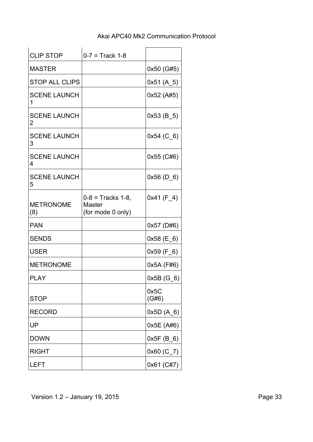| <b>CLIP STOP</b>         | $0 - 7 =$ Track 1-8                                  |                  |
|--------------------------|------------------------------------------------------|------------------|
| <b>MASTER</b>            |                                                      | 0x50 (G#5)       |
| <b>STOP ALL CLIPS</b>    |                                                      | 0x51(A 5)        |
| <b>SCENE LAUNCH</b><br>1 |                                                      | 0x52 (A#5)       |
| <b>SCENE LAUNCH</b><br>2 |                                                      | $0x53$ (B_5)     |
| <b>SCENE LAUNCH</b><br>3 |                                                      | $0x54$ (C $_6$ ) |
| <b>SCENE LAUNCH</b><br>4 |                                                      | 0x55 (C#6)       |
| <b>SCENE LAUNCH</b><br>5 |                                                      | $0x56$ (D_6)     |
| <b>METRONOME</b><br>(8)  | $0 - 8 =$ Tracks 1-8,<br>Master<br>(for mode 0 only) | $0x41$ (F_4)     |
| <b>PAN</b>               |                                                      | 0x57 (D#6)       |
| <b>SENDS</b>             |                                                      | $0x58$ (E_6)     |
| <b>USER</b>              |                                                      | $0x59$ (F $_6$ ) |
| <b>METRONOME</b>         |                                                      | 0x5A (F#6)       |
| <b>PLAY</b>              |                                                      | $0x5B(G_6)$      |
| <b>STOP</b>              |                                                      | 0x5C<br>(G#6)    |
| <b>RECORD</b>            |                                                      | $0x5D(A_6)$      |
| UP                       |                                                      | 0x5E (A#6)       |
| <b>DOWN</b>              |                                                      | 0x5F(B 6)        |
| <b>RIGHT</b>             |                                                      | $0x60$ (C_7)     |
|                          |                                                      |                  |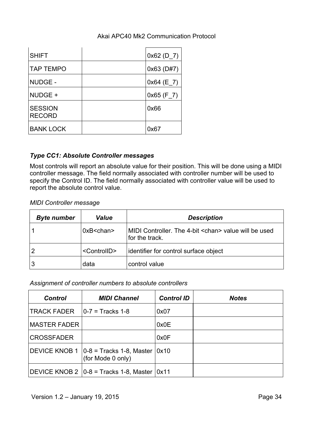| <b>SHIFT</b>                    | $0x62$ (D 7) |
|---------------------------------|--------------|
| <b>TAP TEMPO</b>                | $0x63$ (D#7) |
| <b>NUDGE -</b>                  | $0x64$ (E_7) |
| NUDGE +                         | $0x65$ (F_7) |
| <b>SESSION</b><br><b>RECORD</b> | 0x66         |
| <b>BANK LOCK</b>                | 0x67         |

# *Type CC1: Absolute Controller messages*

Most controls will report an absolute value for their position. This will be done using a MIDI controller message. The field normally associated with controller number will be used to specify the Control ID. The field normally associated with controller value will be used to report the absolute control value.

*MIDI Controller message*

| <b>Byte number</b> | <b>Value</b>            | <b>Description</b>                                                             |
|--------------------|-------------------------|--------------------------------------------------------------------------------|
|                    | $0xB <$ chan $>$        | MIDI Controller. The 4-bit <chan> value will be used<br/>for the track.</chan> |
|                    | <controlid></controlid> | identifier for control surface object                                          |
| 3                  | data                    | control value                                                                  |

# *Assignment of controller numbers to absolute controllers*

| <b>Control</b>                   | <b>MIDI Channel</b>                                                      | <b>Control ID</b> | <b>Notes</b> |
|----------------------------------|--------------------------------------------------------------------------|-------------------|--------------|
| TRACK FADER $ 0-7  =$ Tracks 1-8 |                                                                          | 0x07              |              |
| <b>MASTER FADER</b>              |                                                                          | 0x0E              |              |
| <b>CROSSFADER</b>                |                                                                          | 0x0F              |              |
|                                  | DEVICE KNOB 1 $ 0-8 $ = Tracks 1-8, Master $ 0x10 $<br>(for Mode 0 only) |                   |              |
|                                  | DEVICE KNOB 2 $ 0-8 $ = Tracks 1-8, Master $ 0x11 $                      |                   |              |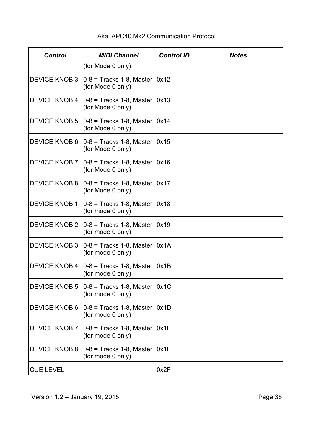| <b>Control</b>       | <b>MIDI Channel</b>                                             | <b>Control ID</b> | <b>Notes</b> |
|----------------------|-----------------------------------------------------------------|-------------------|--------------|
|                      | (for Mode 0 only)                                               |                   |              |
| <b>DEVICE KNOB 3</b> | $ 0-8 $ = Tracks 1-8, Master<br>(for Mode 0 only)               | 0x12              |              |
| <b>DEVICE KNOB 4</b> | $ 0-8 $ = Tracks 1-8, Master<br>(for Mode 0 only)               | 0x13              |              |
| <b>DEVICE KNOB 5</b> | $ 0-8 $ = Tracks 1-8, Master<br>(for Mode 0 only)               | 0x14              |              |
| <b>DEVICE KNOB 6</b> | $ 0-8 $ = Tracks 1-8, Master<br>(for Mode 0 only)               | 0x15              |              |
| <b>DEVICE KNOB 7</b> | $ 0-8 $ = Tracks 1-8, Master<br>(for Mode 0 only)               | 0x16              |              |
| <b>DEVICE KNOB 8</b> | $ 0-8 $ = Tracks 1-8, Master<br>(for Mode 0 only)               | 0x17              |              |
| <b>DEVICE KNOB 1</b> | $ 0-8 $ = Tracks 1-8, Master<br>(for mode 0 only)               | 0x18              |              |
|                      | DEVICE KNOB 2 $ 0-8 $ = Tracks 1-8, Master<br>(for mode 0 only) | 0x19              |              |
| <b>DEVICE KNOB 3</b> | $ 0-8 $ = Tracks 1-8, Master<br>(for mode 0 only)               | 0x1A              |              |
| <b>DEVICE KNOB 4</b> | $ 0-8 $ = Tracks 1-8, Master<br>(for mode 0 only)               | 0x1B              |              |
| <b>DEVICE KNOB 5</b> | $ 0-8 $ = Tracks 1-8, Master $ 0x1C $<br>(for mode 0 only)      |                   |              |
| <b>DEVICE KNOB 6</b> | $0-8$ = Tracks 1-8, Master<br>(for mode 0 only)                 | 0x1D              |              |
| <b>DEVICE KNOB 7</b> | $0-8$ = Tracks 1-8, Master<br>(for mode 0 only)                 | 0x1E              |              |
| <b>DEVICE KNOB 8</b> | $0-8$ = Tracks 1-8, Master<br>(for mode 0 only)                 | 0x1F              |              |
| <b>CUE LEVEL</b>     |                                                                 | 0x2F              |              |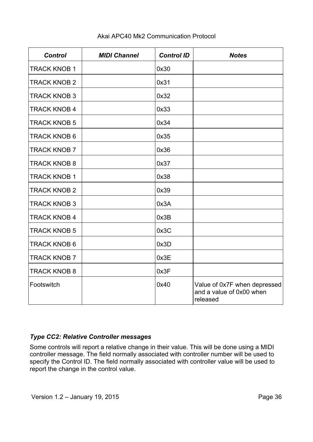| <b>Control</b>      | <b>MIDI Channel</b> | <b>Control ID</b> | <b>Notes</b>                                                         |
|---------------------|---------------------|-------------------|----------------------------------------------------------------------|
| <b>TRACK KNOB 1</b> |                     | 0x30              |                                                                      |
| <b>TRACK KNOB 2</b> |                     | 0x31              |                                                                      |
| <b>TRACK KNOB 3</b> |                     | 0x32              |                                                                      |
| <b>TRACK KNOB 4</b> |                     | 0x33              |                                                                      |
| <b>TRACK KNOB 5</b> |                     | 0x34              |                                                                      |
| <b>TRACK KNOB 6</b> |                     | 0x35              |                                                                      |
| <b>TRACK KNOB 7</b> |                     | 0x36              |                                                                      |
| <b>TRACK KNOB 8</b> |                     | 0x37              |                                                                      |
| <b>TRACK KNOB 1</b> |                     | 0x38              |                                                                      |
| <b>TRACK KNOB 2</b> |                     | 0x39              |                                                                      |
| <b>TRACK KNOB 3</b> |                     | 0x3A              |                                                                      |
| <b>TRACK KNOB 4</b> |                     | 0x3B              |                                                                      |
| <b>TRACK KNOB 5</b> |                     | 0x3C              |                                                                      |
| <b>TRACK KNOB 6</b> |                     | 0x3D              |                                                                      |
| <b>TRACK KNOB 7</b> |                     | 0x3E              |                                                                      |
| <b>TRACK KNOB 8</b> |                     | 0x3F              |                                                                      |
| Footswitch          |                     | 0x40              | Value of 0x7F when depressed<br>and a value of 0x00 when<br>released |

# *Type CC2: Relative Controller messages*

Some controls will report a relative change in their value. This will be done using a MIDI controller message. The field normally associated with controller number will be used to specify the Control ID. The field normally associated with controller value will be used to report the change in the control value.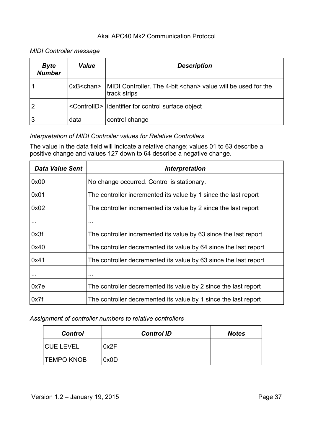# *MIDI Controller message*

| <b>Byte</b><br><b>Number</b> | <i><b>Value</b></i> | <b>Description</b>                                                                   |
|------------------------------|---------------------|--------------------------------------------------------------------------------------|
|                              | $0xB <$ chan $>$    | MIDI Controller. The 4-bit <chan> value will be used for the<br/>track strips</chan> |
| 2                            |                     | <controlld> dentifier for control surface object</controlld>                         |
| 3                            | data                | control change                                                                       |

# *Interpretation of MIDI Controller values for Relative Controllers*

The value in the data field will indicate a relative change; values 01 to 63 describe a positive change and values 127 down to 64 describe a negative change.

| <b>Data Value Sent</b> | <i><b>Interpretation</b></i>                                     |
|------------------------|------------------------------------------------------------------|
| 0x00                   | No change occurred. Control is stationary.                       |
| 0x01                   | The controller incremented its value by 1 since the last report  |
| 0x02                   | The controller incremented its value by 2 since the last report  |
|                        | $\sim$ $\sim$ $\sim$                                             |
| 0x3f                   | The controller incremented its value by 63 since the last report |
| 0x40                   | The controller decremented its value by 64 since the last report |
| 0x41                   | The controller decremented its value by 63 since the last report |
|                        | $\sim$ $\sim$ $\sim$                                             |
| 0x7e                   | The controller decremented its value by 2 since the last report  |
| 0x7f                   | The controller decremented its value by 1 since the last report  |

#### *Assignment of controller numbers to relative controllers*

| <b>Control</b>    | <b>Control ID</b> | <b>Notes</b> |
|-------------------|-------------------|--------------|
| <b>CUE LEVEL</b>  | 0x2F              |              |
| <b>TEMPO KNOB</b> | 0x0D              |              |